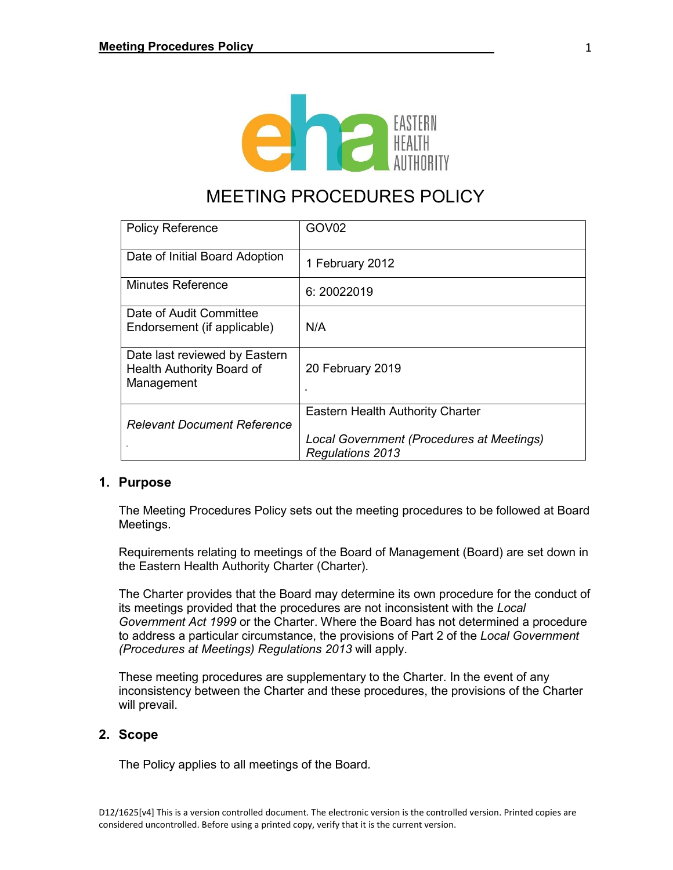

# MEETING PROCEDURES POLICY

| <b>Policy Reference</b>                                                  | GOV <sub>02</sub>                                                                                               |
|--------------------------------------------------------------------------|-----------------------------------------------------------------------------------------------------------------|
| Date of Initial Board Adoption                                           | 1 February 2012                                                                                                 |
| <b>Minutes Reference</b>                                                 | 6:20022019                                                                                                      |
| Date of Audit Committee<br>Endorsement (if applicable)                   | N/A                                                                                                             |
| Date last reviewed by Eastern<br>Health Authority Board of<br>Management | 20 February 2019                                                                                                |
| <b>Relevant Document Reference</b>                                       | <b>Eastern Health Authority Charter</b><br>Local Government (Procedures at Meetings)<br><b>Regulations 2013</b> |

## **1. Purpose**

The Meeting Procedures Policy sets out the meeting procedures to be followed at Board Meetings.

Requirements relating to meetings of the Board of Management (Board) are set down in the Eastern Health Authority Charter (Charter).

The Charter provides that the Board may determine its own procedure for the conduct of its meetings provided that the procedures are not inconsistent with the *Local Government Act 1999* or the Charter. Where the Board has not determined a procedure to address a particular circumstance, the provisions of Part 2 of the *Local Government (Procedures at Meetings) Regulations 2013* will apply.

These meeting procedures are supplementary to the Charter. In the event of any inconsistency between the Charter and these procedures, the provisions of the Charter will prevail.

## **2. Scope**

The Policy applies to all meetings of the Board.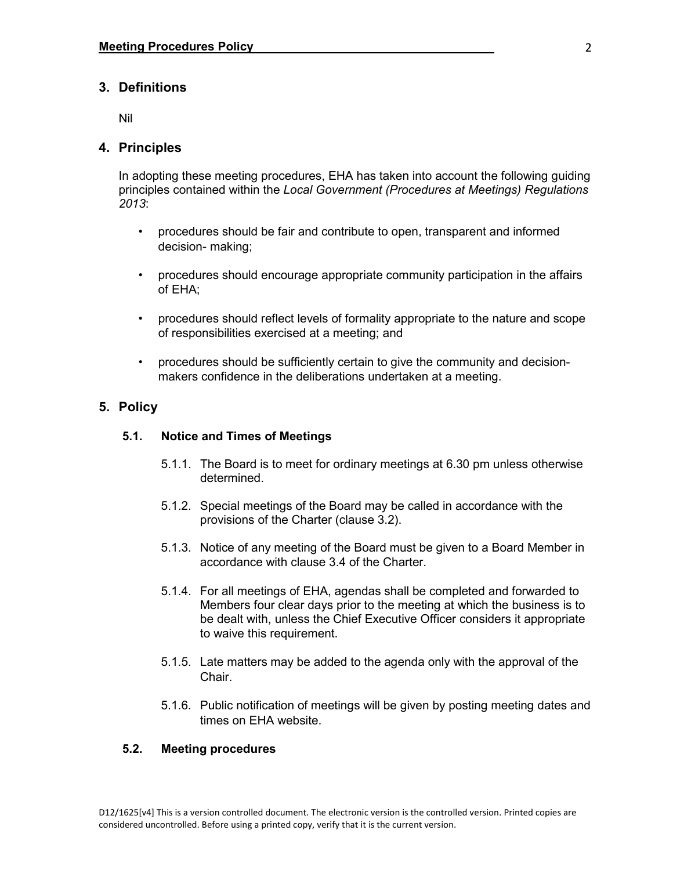## **3. Definitions**

Nil

### **4. Principles**

In adopting these meeting procedures, EHA has taken into account the following guiding principles contained within the *Local Government (Procedures at Meetings) Regulations 2013*:

- procedures should be fair and contribute to open, transparent and informed decision- making;
- procedures should encourage appropriate community participation in the affairs of EHA;
- procedures should reflect levels of formality appropriate to the nature and scope of responsibilities exercised at a meeting; and
- procedures should be sufficiently certain to give the community and decisionmakers confidence in the deliberations undertaken at a meeting.

## **5. Policy**

#### **5.1. Notice and Times of Meetings**

- 5.1.1. The Board is to meet for ordinary meetings at 6.30 pm unless otherwise determined.
- 5.1.2. Special meetings of the Board may be called in accordance with the provisions of the Charter (clause 3.2).
- 5.1.3. Notice of any meeting of the Board must be given to a Board Member in accordance with clause 3.4 of the Charter.
- 5.1.4. For all meetings of EHA, agendas shall be completed and forwarded to Members four clear days prior to the meeting at which the business is to be dealt with, unless the Chief Executive Officer considers it appropriate to waive this requirement.
- 5.1.5. Late matters may be added to the agenda only with the approval of the Chair.
- 5.1.6. Public notification of meetings will be given by posting meeting dates and times on EHA website.

#### **5.2. Meeting procedures**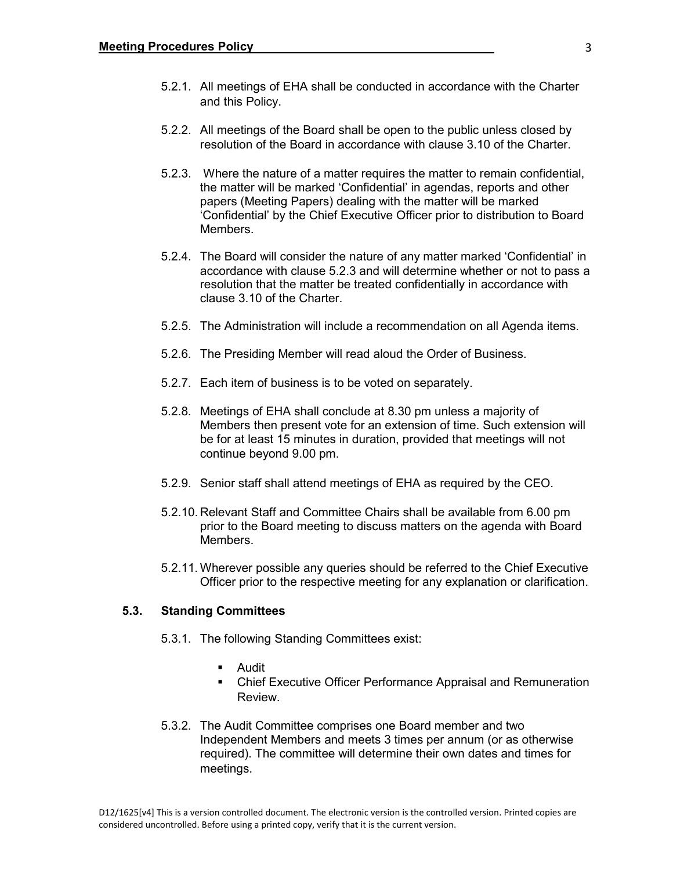- 5.2.1. All meetings of EHA shall be conducted in accordance with the Charter and this Policy.
- 5.2.2. All meetings of the Board shall be open to the public unless closed by resolution of the Board in accordance with clause 3.10 of the Charter.
- 5.2.3. Where the nature of a matter requires the matter to remain confidential, the matter will be marked 'Confidential' in agendas, reports and other papers (Meeting Papers) dealing with the matter will be marked 'Confidential' by the Chief Executive Officer prior to distribution to Board Members.
- 5.2.4. The Board will consider the nature of any matter marked 'Confidential' in accordance with clause 5.2.3 and will determine whether or not to pass a resolution that the matter be treated confidentially in accordance with clause 3.10 of the Charter.
- 5.2.5. The Administration will include a recommendation on all Agenda items.
- 5.2.6. The Presiding Member will read aloud the Order of Business.
- 5.2.7. Each item of business is to be voted on separately.
- 5.2.8. Meetings of EHA shall conclude at 8.30 pm unless a majority of Members then present vote for an extension of time. Such extension will be for at least 15 minutes in duration, provided that meetings will not continue beyond 9.00 pm.
- 5.2.9. Senior staff shall attend meetings of EHA as required by the CEO.
- 5.2.10. Relevant Staff and Committee Chairs shall be available from 6.00 pm prior to the Board meeting to discuss matters on the agenda with Board Members.
- 5.2.11. Wherever possible any queries should be referred to the Chief Executive Officer prior to the respective meeting for any explanation or clarification.

#### **5.3. Standing Committees**

- 5.3.1. The following Standing Committees exist:
	- Audit
	- Chief Executive Officer Performance Appraisal and Remuneration Review.
- 5.3.2. The Audit Committee comprises one Board member and two Independent Members and meets 3 times per annum (or as otherwise required). The committee will determine their own dates and times for meetings.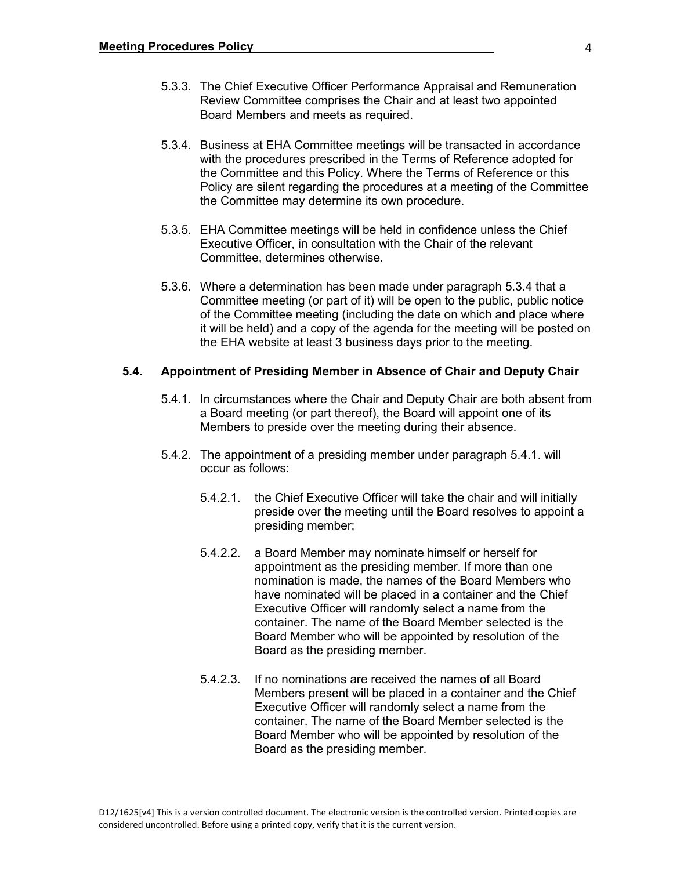- 5.3.3. The Chief Executive Officer Performance Appraisal and Remuneration Review Committee comprises the Chair and at least two appointed Board Members and meets as required.
- 5.3.4. Business at EHA Committee meetings will be transacted in accordance with the procedures prescribed in the Terms of Reference adopted for the Committee and this Policy. Where the Terms of Reference or this Policy are silent regarding the procedures at a meeting of the Committee the Committee may determine its own procedure.
- 5.3.5. EHA Committee meetings will be held in confidence unless the Chief Executive Officer, in consultation with the Chair of the relevant Committee, determines otherwise.
- 5.3.6. Where a determination has been made under paragraph 5.3.4 that a Committee meeting (or part of it) will be open to the public, public notice of the Committee meeting (including the date on which and place where it will be held) and a copy of the agenda for the meeting will be posted on the EHA website at least 3 business days prior to the meeting.

#### **5.4. Appointment of Presiding Member in Absence of Chair and Deputy Chair**

- 5.4.1. In circumstances where the Chair and Deputy Chair are both absent from a Board meeting (or part thereof), the Board will appoint one of its Members to preside over the meeting during their absence.
- 5.4.2. The appointment of a presiding member under paragraph 5.4.1. will occur as follows:
	- 5.4.2.1. the Chief Executive Officer will take the chair and will initially preside over the meeting until the Board resolves to appoint a presiding member;
	- 5.4.2.2. a Board Member may nominate himself or herself for appointment as the presiding member. If more than one nomination is made, the names of the Board Members who have nominated will be placed in a container and the Chief Executive Officer will randomly select a name from the container. The name of the Board Member selected is the Board Member who will be appointed by resolution of the Board as the presiding member.
	- 5.4.2.3. If no nominations are received the names of all Board Members present will be placed in a container and the Chief Executive Officer will randomly select a name from the container. The name of the Board Member selected is the Board Member who will be appointed by resolution of the Board as the presiding member.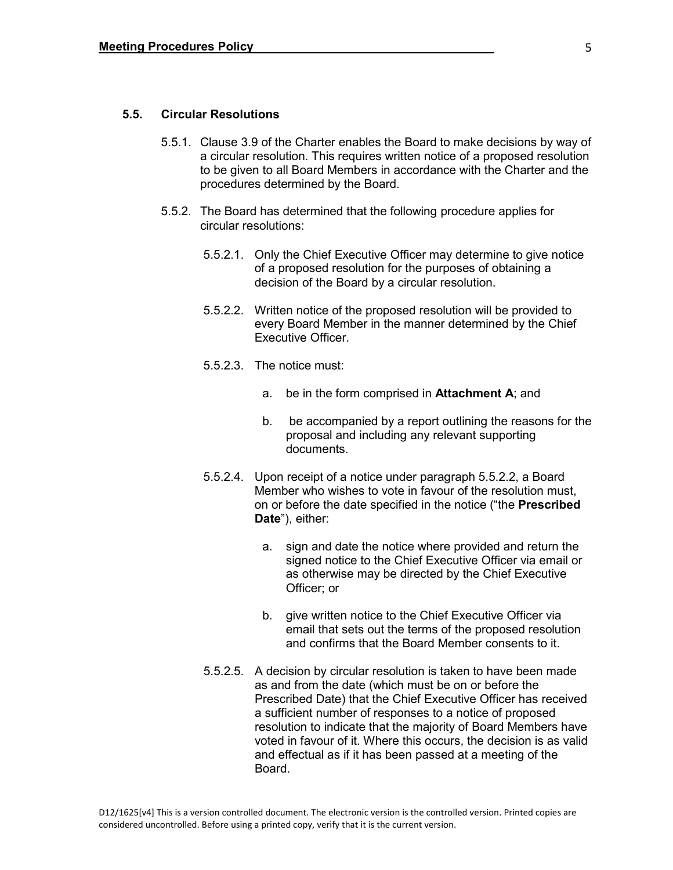#### **5.5. Circular Resolutions**

- 5.5.1. Clause 3.9 of the Charter enables the Board to make decisions by way of a circular resolution. This requires written notice of a proposed resolution to be given to all Board Members in accordance with the Charter and the procedures determined by the Board.
- 5.5.2. The Board has determined that the following procedure applies for circular resolutions:
	- 5.5.2.1. Only the Chief Executive Officer may determine to give notice of a proposed resolution for the purposes of obtaining a decision of the Board by a circular resolution.
	- 5.5.2.2. Written notice of the proposed resolution will be provided to every Board Member in the manner determined by the Chief Executive Officer.
	- 5.5.2.3. The notice must:
		- a. be in the form comprised in **Attachment A**; and
		- b. be accompanied by a report outlining the reasons for the proposal and including any relevant supporting documents.
	- 5.5.2.4. Upon receipt of a notice under paragraph 5.5.2.2, a Board Member who wishes to vote in favour of the resolution must, on or before the date specified in the notice ("the **Prescribed Date**"), either:
		- a. sign and date the notice where provided and return the signed notice to the Chief Executive Officer via email or as otherwise may be directed by the Chief Executive Officer; or
		- b. give written notice to the Chief Executive Officer via email that sets out the terms of the proposed resolution and confirms that the Board Member consents to it.
	- 5.5.2.5. A decision by circular resolution is taken to have been made as and from the date (which must be on or before the Prescribed Date) that the Chief Executive Officer has received a sufficient number of responses to a notice of proposed resolution to indicate that the majority of Board Members have voted in favour of it. Where this occurs, the decision is as valid and effectual as if it has been passed at a meeting of the Board.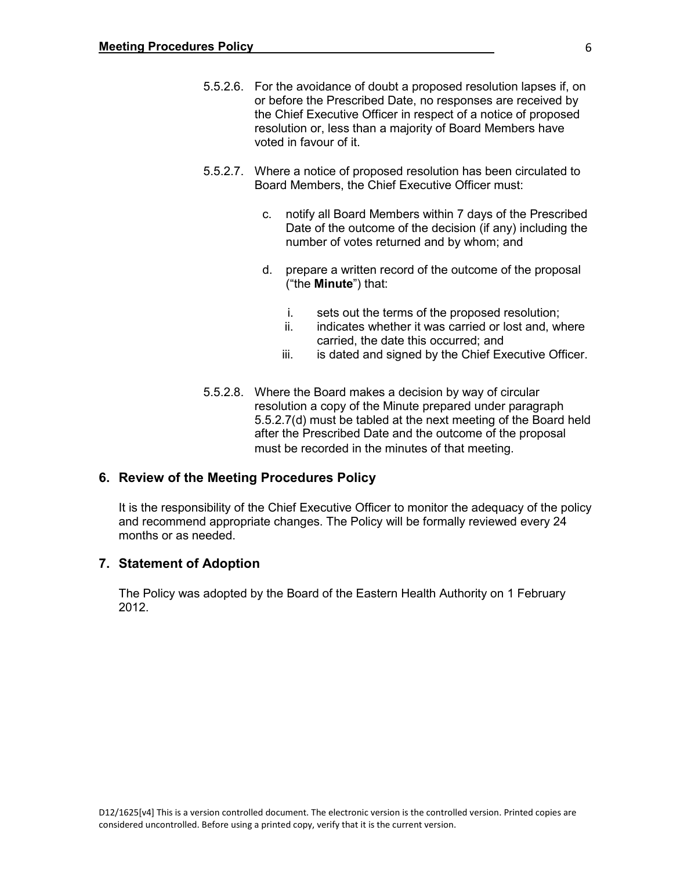- 5.5.2.6. For the avoidance of doubt a proposed resolution lapses if, on or before the Prescribed Date, no responses are received by the Chief Executive Officer in respect of a notice of proposed resolution or, less than a majority of Board Members have voted in favour of it.
- 5.5.2.7. Where a notice of proposed resolution has been circulated to Board Members, the Chief Executive Officer must:
	- c. notify all Board Members within 7 days of the Prescribed Date of the outcome of the decision (if any) including the number of votes returned and by whom; and
	- d. prepare a written record of the outcome of the proposal ("the **Minute**") that:
		- i. sets out the terms of the proposed resolution;<br>ii indicates whether it was carried or lost and will
		- indicates whether it was carried or lost and, where carried, the date this occurred; and
		- iii. is dated and signed by the Chief Executive Officer.
- 5.5.2.8. Where the Board makes a decision by way of circular resolution a copy of the Minute prepared under paragraph 5.5.2.7(d) must be tabled at the next meeting of the Board held after the Prescribed Date and the outcome of the proposal must be recorded in the minutes of that meeting.

## **6. Review of the Meeting Procedures Policy**

It is the responsibility of the Chief Executive Officer to monitor the adequacy of the policy and recommend appropriate changes. The Policy will be formally reviewed every 24 months or as needed.

#### **7. Statement of Adoption**

The Policy was adopted by the Board of the Eastern Health Authority on 1 February 2012.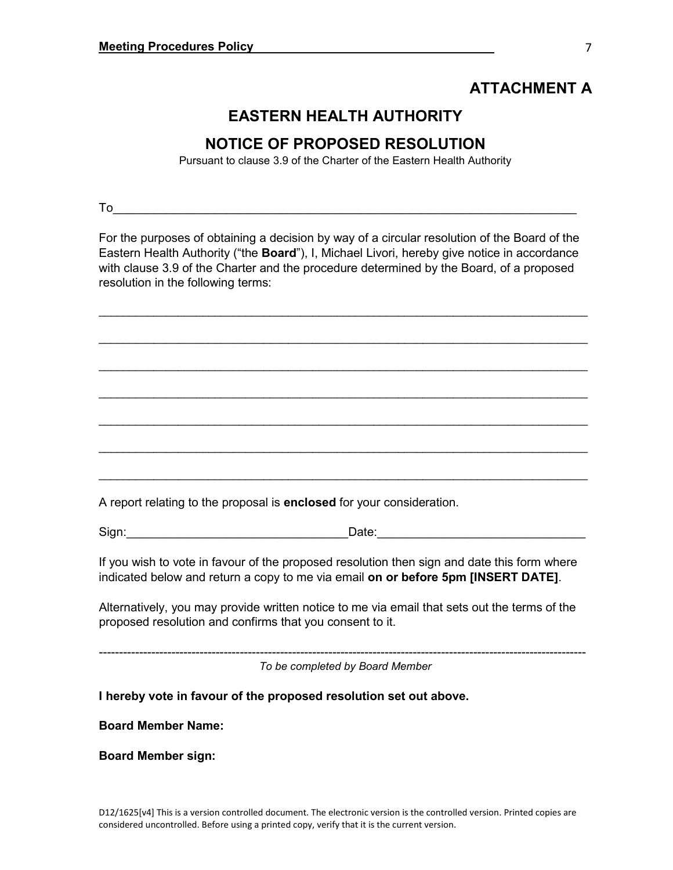## **ATTACHMENT A**

## **EASTERN HEALTH AUTHORITY**

## **NOTICE OF PROPOSED RESOLUTION**

Pursuant to clause 3.9 of the Charter of the Eastern Health Authority

To the contract of the contract of  $\overline{\phantom{a}}$  . The contract of  $\overline{\phantom{a}}$ 

For the purposes of obtaining a decision by way of a circular resolution of the Board of the Eastern Health Authority ("the **Board**"), I, Michael Livori, hereby give notice in accordance with clause 3.9 of the Charter and the procedure determined by the Board, of a proposed resolution in the following terms:

\_\_\_\_\_\_\_\_\_\_\_\_\_\_\_\_\_\_\_\_\_\_\_\_\_\_\_\_\_\_\_\_\_\_\_\_\_\_\_\_\_\_\_\_\_\_\_\_\_\_\_\_\_\_\_\_\_\_\_\_\_\_\_\_\_\_\_\_\_\_\_\_\_\_\_\_\_\_\_\_

\_\_\_\_\_\_\_\_\_\_\_\_\_\_\_\_\_\_\_\_\_\_\_\_\_\_\_\_\_\_\_\_\_\_\_\_\_\_\_\_\_\_\_\_\_\_\_\_\_\_\_\_\_\_\_\_\_\_\_\_\_\_\_\_\_\_\_\_\_\_\_\_\_\_\_\_\_\_\_\_

\_\_\_\_\_\_\_\_\_\_\_\_\_\_\_\_\_\_\_\_\_\_\_\_\_\_\_\_\_\_\_\_\_\_\_\_\_\_\_\_\_\_\_\_\_\_\_\_\_\_\_\_\_\_\_\_\_\_\_\_\_\_\_\_\_\_\_\_\_\_\_\_\_\_\_\_\_\_\_\_

\_\_\_\_\_\_\_\_\_\_\_\_\_\_\_\_\_\_\_\_\_\_\_\_\_\_\_\_\_\_\_\_\_\_\_\_\_\_\_\_\_\_\_\_\_\_\_\_\_\_\_\_\_\_\_\_\_\_\_\_\_\_\_\_\_\_\_\_\_\_\_\_\_\_\_\_\_\_\_\_

\_\_\_\_\_\_\_\_\_\_\_\_\_\_\_\_\_\_\_\_\_\_\_\_\_\_\_\_\_\_\_\_\_\_\_\_\_\_\_\_\_\_\_\_\_\_\_\_\_\_\_\_\_\_\_\_\_\_\_\_\_\_\_\_\_\_\_\_\_\_\_\_\_\_\_\_\_\_\_\_

\_\_\_\_\_\_\_\_\_\_\_\_\_\_\_\_\_\_\_\_\_\_\_\_\_\_\_\_\_\_\_\_\_\_\_\_\_\_\_\_\_\_\_\_\_\_\_\_\_\_\_\_\_\_\_\_\_\_\_\_\_\_\_\_\_\_\_\_\_\_\_\_\_\_\_\_\_\_\_\_

\_\_\_\_\_\_\_\_\_\_\_\_\_\_\_\_\_\_\_\_\_\_\_\_\_\_\_\_\_\_\_\_\_\_\_\_\_\_\_\_\_\_\_\_\_\_\_\_\_\_\_\_\_\_\_\_\_\_\_\_\_\_\_\_\_\_\_\_\_\_\_\_\_\_\_\_\_\_\_\_

A report relating to the proposal is **enclosed** for your consideration.

Sign: example of the state of the Date:  $\Box$  Date:

If you wish to vote in favour of the proposed resolution then sign and date this form where indicated below and return a copy to me via email **on or before 5pm [INSERT DATE]**.

Alternatively, you may provide written notice to me via email that sets out the terms of the proposed resolution and confirms that you consent to it.

*To be completed by Board Member*

-------------------------------------------------------------------------------------------------------------------------

**I hereby vote in favour of the proposed resolution set out above.**

**Board Member Name:**

**Board Member sign:**